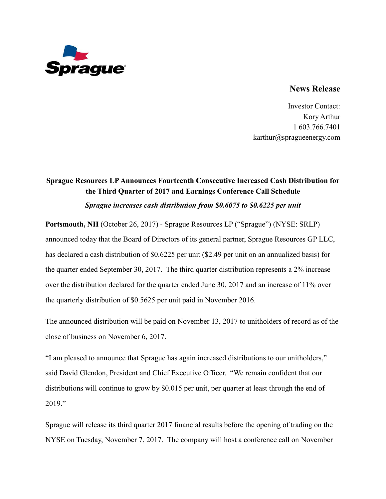

## **News Release**

Investor Contact: Kory Arthur +1 603.766.7401 karthur@spragueenergy.com

## **Sprague Resources LP Announces Fourteenth Consecutive Increased Cash Distribution for the Third Quarter of 2017 and Earnings Conference Call Schedule** *Sprague increases cash distribution from \$0.6075 to \$0.6225 per unit*

**Portsmouth, NH** (October 26, 2017) - Sprague Resources LP ("Sprague") (NYSE: SRLP) announced today that the Board of Directors of its general partner, Sprague Resources GP LLC, has declared a cash distribution of \$0.6225 per unit (\$2.49 per unit on an annualized basis) for the quarter ended September 30, 2017. The third quarter distribution represents a 2% increase over the distribution declared for the quarter ended June 30, 2017 and an increase of 11% over the quarterly distribution of \$0.5625 per unit paid in November 2016.

The announced distribution will be paid on November 13, 2017 to unitholders of record as of the close of business on November 6, 2017.

"I am pleased to announce that Sprague has again increased distributions to our unitholders," said David Glendon, President and Chief Executive Officer. "We remain confident that our distributions will continue to grow by \$0.015 per unit, per quarter at least through the end of 2019."

Sprague will release its third quarter 2017 financial results before the opening of trading on the NYSE on Tuesday, November 7, 2017. The company will host a conference call on November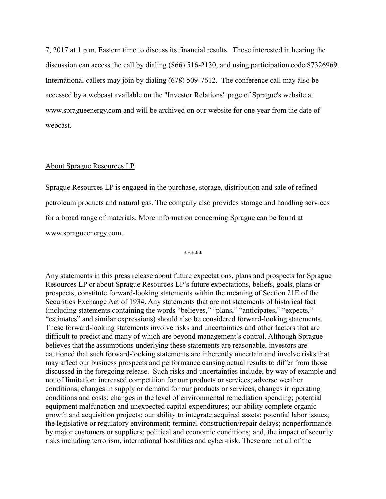7, 2017 at 1 p.m. Eastern time to discuss its financial results. Those interested in hearing the discussion can access the call by dialing (866) 516-2130, and using participation code 87326969. International callers may join by dialing (678) 509-7612. The conference call may also be accessed by a webcast available on the "Investor Relations" page of Sprague's website at www.spragueenergy.com and will be archived on our website for one year from the date of webcast.

## About Sprague Resources LP

Sprague Resources LP is engaged in the purchase, storage, distribution and sale of refined petroleum products and natural gas. The company also provides storage and handling services for a broad range of materials. More information concerning Sprague can be found at www.spragueenergy.com.

\*\*\*\*\*

Any statements in this press release about future expectations, plans and prospects for Sprague Resources LP or about Sprague Resources LP's future expectations, beliefs, goals, plans or prospects, constitute forward-looking statements within the meaning of Section 21E of the Securities Exchange Act of 1934. Any statements that are not statements of historical fact (including statements containing the words "believes," "plans," "anticipates," "expects," "estimates" and similar expressions) should also be considered forward-looking statements. These forward-looking statements involve risks and uncertainties and other factors that are difficult to predict and many of which are beyond management's control. Although Sprague believes that the assumptions underlying these statements are reasonable, investors are cautioned that such forward-looking statements are inherently uncertain and involve risks that may affect our business prospects and performance causing actual results to differ from those discussed in the foregoing release. Such risks and uncertainties include, by way of example and not of limitation: increased competition for our products or services; adverse weather conditions; changes in supply or demand for our products or services; changes in operating conditions and costs; changes in the level of environmental remediation spending; potential equipment malfunction and unexpected capital expenditures; our ability complete organic growth and acquisition projects; our ability to integrate acquired assets; potential labor issues; the legislative or regulatory environment; terminal construction/repair delays; nonperformance by major customers or suppliers; political and economic conditions; and, the impact of security risks including terrorism, international hostilities and cyber-risk. These are not all of the